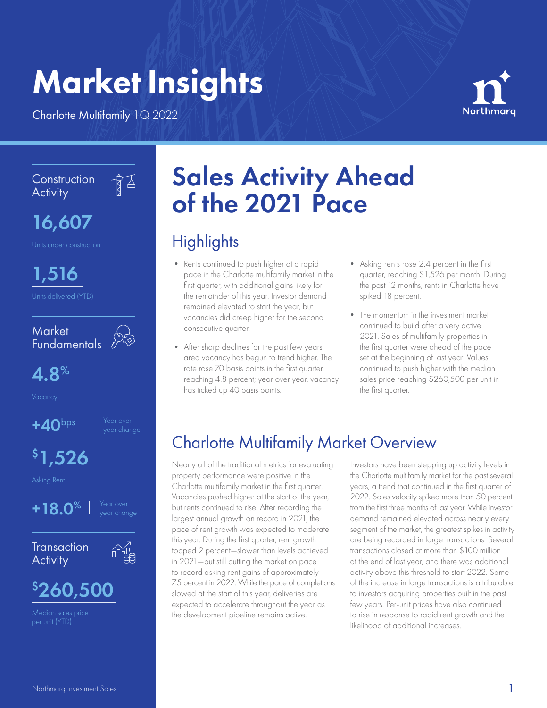# Market Insights

Charlotte Multifamily 1Q 2022



**Construction Activity** 

 $\frac{1}{8}$ 

16,607

1,516





Vacancy

 $+40^{\text{bps}}$ 

 $$1,526$ 

Asking Rent



**Transaction Activity** 





Median sales price per unit (YTD)

## Sales Activity Ahead of the 2021 Pace

## **Highlights**

- Rents continued to push higher at a rapid pace in the Charlotte multifamily market in the first quarter, with additional gains likely for the remainder of this year. Investor demand remained elevated to start the year, but vacancies did creep higher for the second consecutive quarter.
- After sharp declines for the past few years, area vacancy has begun to trend higher. The rate rose 70 basis points in the first quarter, reaching 4.8 percent; year over year, vacancy has ticked up 40 basis points.
- Asking rents rose 2.4 percent in the first quarter, reaching \$1,526 per month. During the past 12 months, rents in Charlotte have spiked 18 percent.
- The momentum in the investment market continued to build after a very active 2021. Sales of multifamily properties in the first quarter were ahead of the pace set at the beginning of last year. Values continued to push higher with the median sales price reaching \$260,500 per unit in the first quarter.

## Charlotte Multifamily Market Overview

Nearly all of the traditional metrics for evaluating property performance were positive in the Charlotte multifamily market in the first quarter. Vacancies pushed higher at the start of the year, but rents continued to rise. After recording the largest annual growth on record in 2021, the pace of rent growth was expected to moderate this year. During the first quarter, rent growth topped 2 percent—slower than levels achieved in 2021—but still putting the market on pace to record asking rent gains of approximately 7.5 percent in 2022. While the pace of completions slowed at the start of this year, deliveries are expected to accelerate throughout the year as the development pipeline remains active.

Investors have been stepping up activity levels in the Charlotte multifamily market for the past several years, a trend that continued in the first quarter of 2022. Sales velocity spiked more than 50 percent from the first three months of last year. While investor demand remained elevated across nearly every segment of the market, the greatest spikes in activity are being recorded in large transactions. Several transactions closed at more than \$100 million at the end of last year, and there was additional activity above this threshold to start 2022. Some of the increase in large transactions is attributable to investors acquiring properties built in the past few years. Per-unit prices have also continued to rise in response to rapid rent growth and the likelihood of additional increases.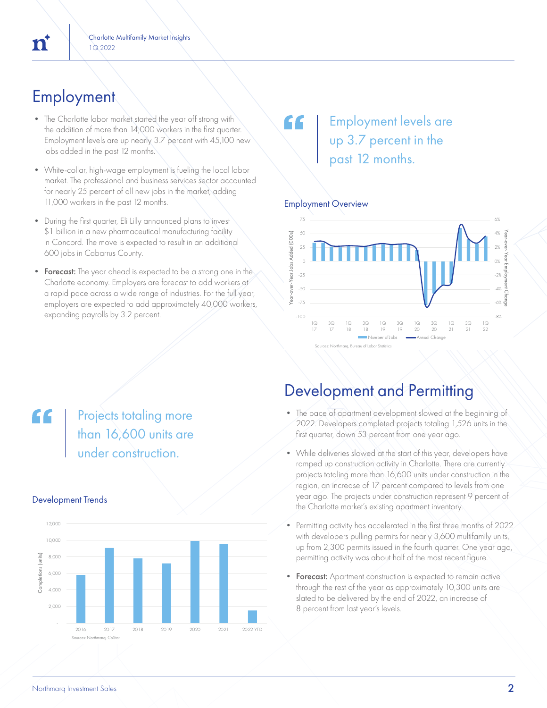## **Employment**

n

- The Charlotte labor market started the year off strong with the addition of more than 14,000 workers in the first quarter. Employment levels are up nearly 3.7 percent with 45,100 new jobs added in the past 12 months.
- White-collar, high-wage employment is fueling the local labor market. The professional and business services sector accounted for nearly 25 percent of all new jobs in the market, adding 11,000 workers in the past 12 months.
- During the first quarter, Eli Lilly announced plans to invest \$1 billion in a new pharmaceutical manufacturing facility in Concord. The move is expected to result in an additional 600 jobs in Cabarrus County.
- Forecast: The year ahead is expected to be a strong one in the Charlotte economy. Employers are forecast to add workers at a rapid pace across a wide range of industries. For the full year, employers are expected to add approximately 40,000 workers, expanding payrolls by 3.2 percent.

## Employment levels are up 3.7 percent in the past 12 months.

### Employment Overview

"



## Development and Permitting

- The pace of apartment development slowed at the beginning of 2022. Developers completed projects totaling 1,526 units in the first quarter, down 53 percent from one year ago.
- While deliveries slowed at the start of this year, developers have ramped up construction activity in Charlotte. There are currently projects totaling more than 16,600 units under construction in the region, an increase of 17 percent compared to levels from one year ago. The projects under construction represent 9 percent of the Charlotte market's existing apartment inventory.
- Permitting activity has accelerated in the first three months of 2022 with developers pulling permits for nearly 3,600 multifamily units, up from 2,300 permits issued in the fourth quarter. One year ago, permitting activity was about half of the most recent figure.
- **Forecast:** Apartment construction is expected to remain active through the rest of the year as approximately 10,300 units are slated to be delivered by the end of 2022, an increase of 8 percent from last year's levels.

## "

**Projects totaling more** than 16,600 units are under construction.

### Development Trends

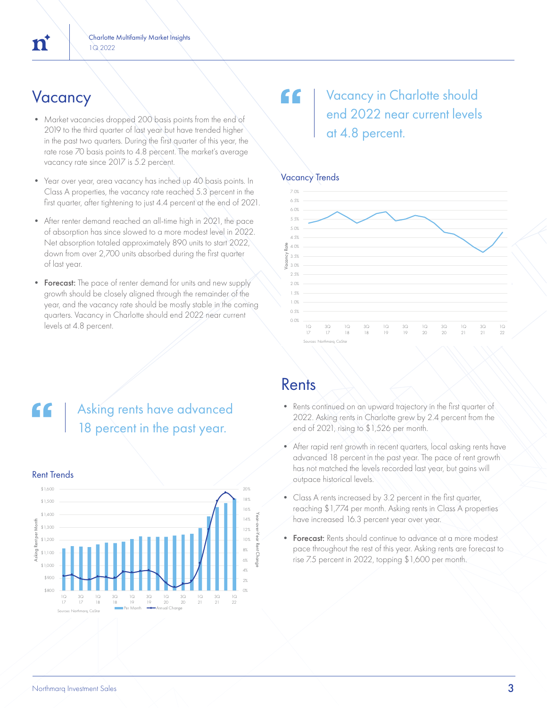- Market vacancies dropped 200 basis points from the end of 2019 to the third quarter of last year but have trended higher in the past two quarters. During the first quarter of this year, the rate rose 70 basis points to 4.8 percent. The market's average vacancy rate since 2017 is 5.2 percent.
- Year over year, area vacancy has inched up 40 basis points. In Class A properties, the vacancy rate reached 5.3 percent in the first quarter, after tightening to just 4.4 percent at the end of 2021.
- After renter demand reached an all-time high in 2021, the pace of absorption has since slowed to a more modest level in 2022. Net absorption totaled approximately 890 units to start 2022, down from over 2,700 units absorbed during the first quarter of last year.
- Forecast: The pace of renter demand for units and new supply growth should be closely aligned through the remainder of the year, and the vacancy rate should be mostly stable in the coming quarters. Vacancy in Charlotte should end 2022 near current levels at 4.8 percent.

## Vacancy **Vacancy Vacancy 19** end 2022 near current levels at 4.8 percent.

### Vacancy Trends



## Asking rents have advanced 18 percent in the past year.



### Rent Trends

### Rents

- Rents continued on an upward trajectory in the first quarter of 2022. Asking rents in Charlotte grew by 2.4 percent from the end of 2021, rising to \$1,526 per month.
- After rapid rent growth in recent quarters, local asking rents have advanced 18 percent in the past year. The pace of rent growth has not matched the levels recorded last year, but gains will outpace historical levels.
- Class A rents increased by 3.2 percent in the first quarter, reaching \$1,774 per month. Asking rents in Class A properties have increased 16.3 percent year over year.
- Forecast: Rents should continue to advance at a more modest pace throughout the rest of this year. Asking rents are forecast to rise 7.5 percent in 2022, topping \$1,600 per month.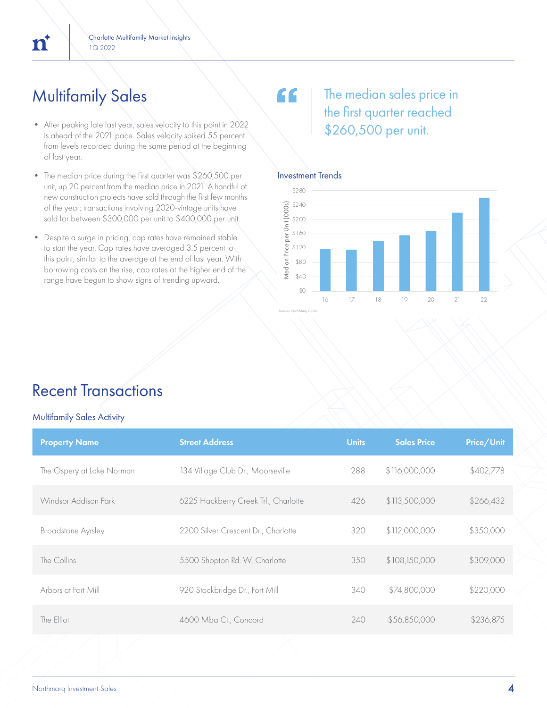## Multifamily Sales

 $\overline{n}$ 

- After peaking late last year, sales velocity to this point in 2022 is ahead of the 2021 pace. Sales velocity spiked 55 percent from levels recorded during the same period at the beginning of last year.
- The median price during the first quarter was \$260,500 per unit, up 20 percent from the median price in 2021. A handful of new construction projects have sold through the first few months of the year; transactions involving 2020-vintage units have sold for between \$300,000 per unit to \$400,000 per unit.
- Despite a surge in pricing, cap rates have remained stable to start the year. Cap rates have averaged 3.5 percent to this point, similar to the average at the end of last year. With borrowing costs on the rise, cap rates at the higher end of the range have begun to show signs of trending upward.

## The median sales price in the first quarter reached \$260,500 per unit.

### Investment Trends

"



## Recent Transactions

#### Multifamily Sales Activity

| <b>Property Name</b>      | <b>Street Address</b>                | <b>Units</b> | <b>Sales Price</b> | Price/Unit |
|---------------------------|--------------------------------------|--------------|--------------------|------------|
| The Ospery at Lake Norman | 134 Village Club Dr., Moorseville    | 288          | \$116,000,000      | \$402,778  |
| Windsor Addison Park      | 6225 Hackberry Creek Trl., Charlotte | 426          | \$113,500,000      | \$266,432  |
| <b>Broadstone Ayrsley</b> | 2200 Silver Crescent Dr., Charlotte  | 320          | \$112,000,000      | \$350,000  |
| The Collins               | 5500 Shopton Rd. W, Charlotte        | 350          | \$108,150,000      | \$309,000  |
| Arbors at Fort Mill       | 920 Stockbridge Dr., Fort Mill       | 340          | \$74,800,000       | \$220,000  |
| The Elliott               | 4600 Mba Ct., Concord                | 240          | \$56,850,000       | \$236,875  |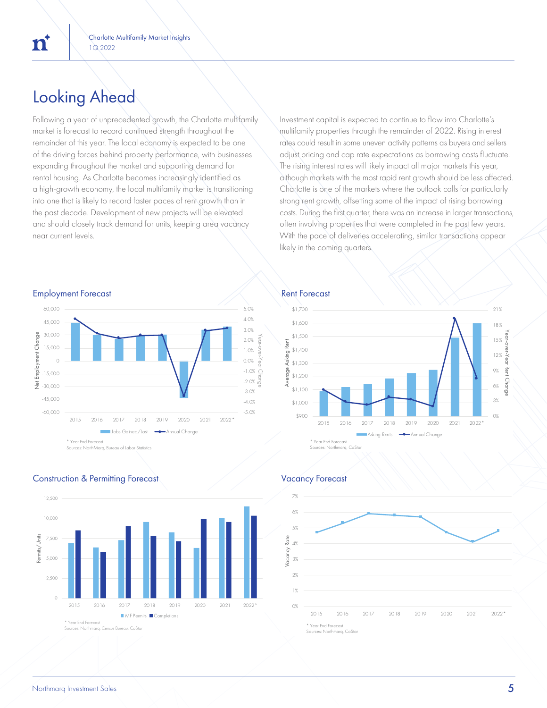## Looking Ahead

Following a year of unprecedented growth, the Charlotte multifamily market is forecast to record continued strength throughout the remainder of this year. The local economy is expected to be one of the driving forces behind property performance, with businesses expanding throughout the market and supporting demand for rental housing. As Charlotte becomes increasingly identified as a high-growth economy, the local multifamily market is transitioning into one that is likely to record faster paces of rent growth than in the past decade. Development of new projects will be elevated and should closely track demand for units, keeping area vacancy near current levels.

Investment capital is expected to continue to flow into Charlotte's multifamily properties through the remainder of 2022. Rising interest rates could result in some uneven activity patterns as buyers and sellers adjust pricing and cap rate expectations as borrowing costs fluctuate. The rising interest rates will likely impact all major markets this year, although markets with the most rapid rent growth should be less affected. Charlotte is one of the markets where the outlook calls for particularly strong rent growth, offsetting some of the impact of rising borrowing costs. During the first quarter, there was an increase in larger transactions, often involving properties that were completed in the past few years. With the pace of deliveries accelerating, similar transactions appear likely in the coming quarters.

#### Employment Forecast **Rent Forecast** Rent Forecast



### **Construction & Permitting Forecast Construction & Permitting Forecast Vacancy Forecast**







'n